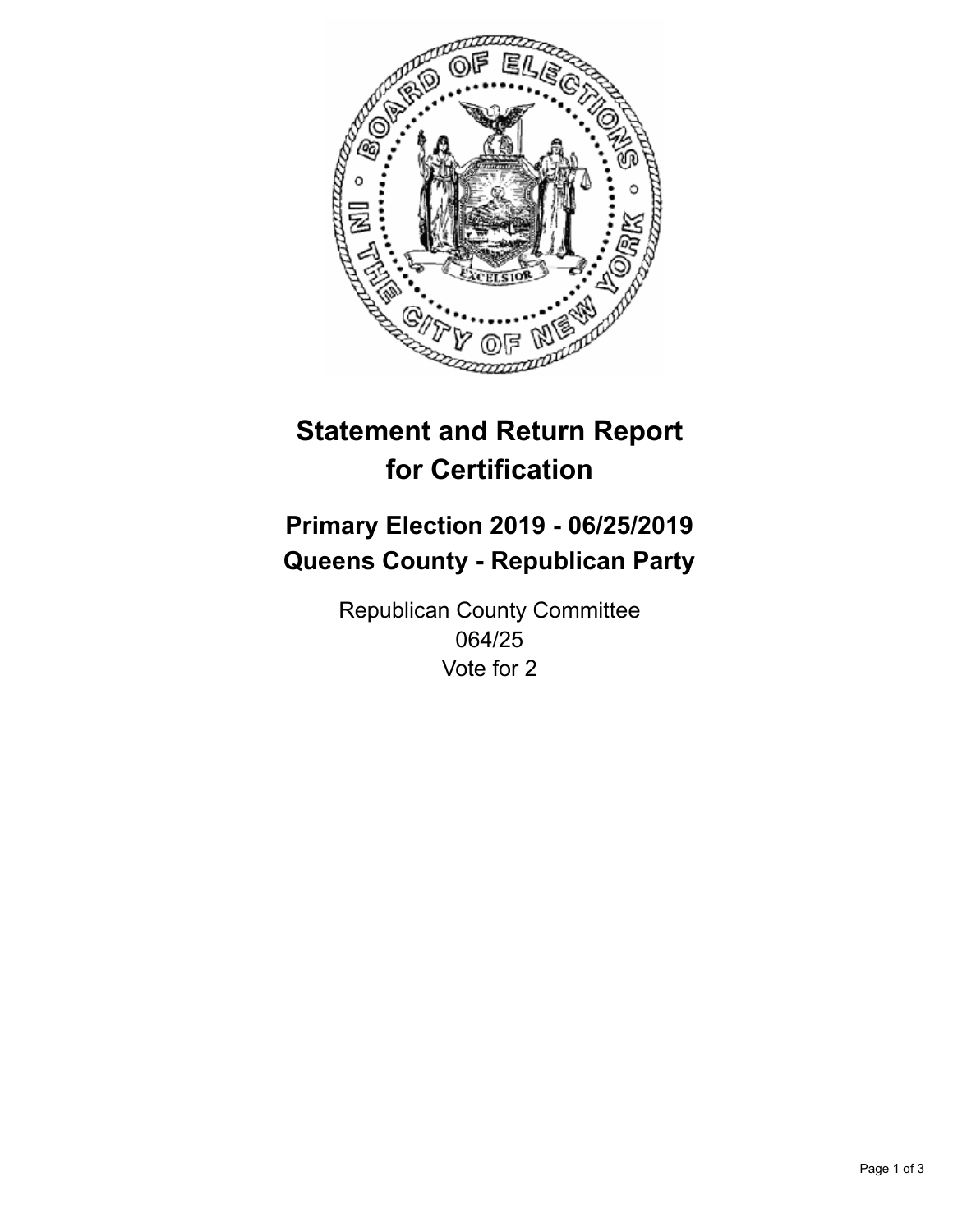

## **Statement and Return Report for Certification**

## **Primary Election 2019 - 06/25/2019 Queens County - Republican Party**

Republican County Committee 064/25 Vote for 2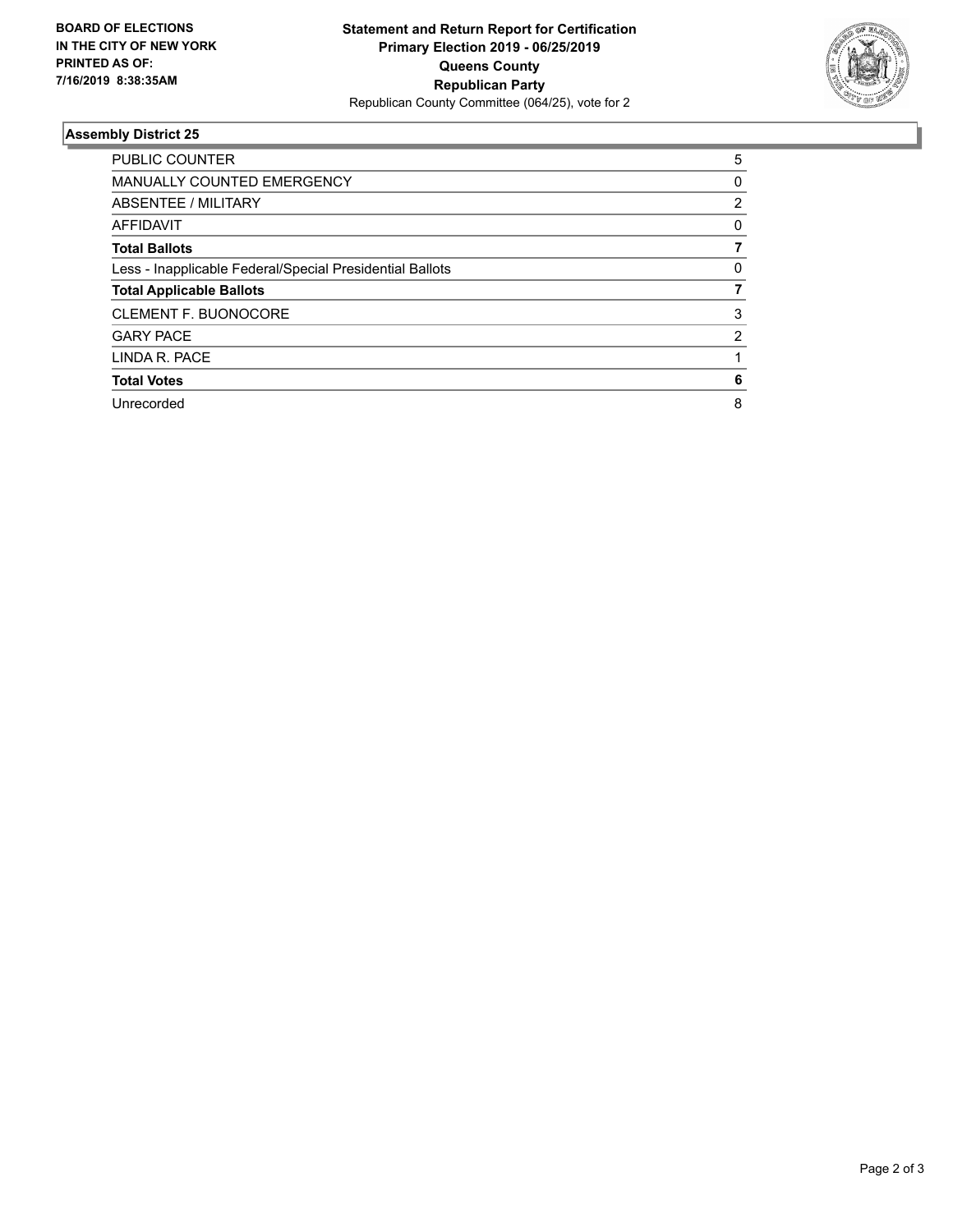

## **Assembly District 25**

| <b>PUBLIC COUNTER</b>                                    | 5 |
|----------------------------------------------------------|---|
| <b>MANUALLY COUNTED EMERGENCY</b>                        | 0 |
| ABSENTEE / MILITARY                                      | 2 |
| <b>AFFIDAVIT</b>                                         | 0 |
| <b>Total Ballots</b>                                     |   |
| Less - Inapplicable Federal/Special Presidential Ballots | 0 |
| <b>Total Applicable Ballots</b>                          |   |
| <b>CLEMENT F. BUONOCORE</b>                              | 3 |
| <b>GARY PACE</b>                                         | 2 |
| LINDA R. PACE                                            |   |
| <b>Total Votes</b>                                       | 6 |
| Unrecorded                                               | 8 |